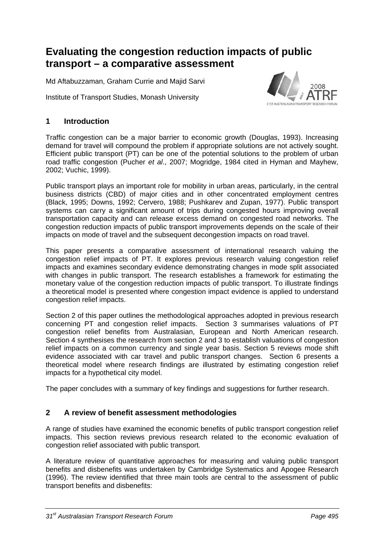# **Evaluating the congestion reduction impacts of public transport – a comparative assessment**

Md Aftabuzzaman, Graham Currie and Majid Sarvi

Institute of Transport Studies, Monash University



# **1 Introduction**

Traffic congestion can be a major barrier to economic growth (Douglas, 1993). Increasing demand for travel will compound the problem if appropriate solutions are not actively sought. Efficient public transport (PT) can be one of the potential solutions to the problem of urban road traffic congestion (Pucher *et al*., 2007; Mogridge, 1984 cited in Hyman and Mayhew, 2002; Vuchic, 1999).

Public transport plays an important role for mobility in urban areas, particularly, in the central business districts (CBD) of major cities and in other concentrated employment centres (Black, 1995; Downs, 1992; Cervero, 1988; Pushkarev and Zupan, 1977). Public transport systems can carry a significant amount of trips during congested hours improving overall transportation capacity and can release excess demand on congested road networks. The congestion reduction impacts of public transport improvements depends on the scale of their impacts on mode of travel and the subsequent decongestion impacts on road travel.

This paper presents a comparative assessment of international research valuing the congestion relief impacts of PT. It explores previous research valuing congestion relief impacts and examines secondary evidence demonstrating changes in mode split associated with changes in public transport. The research establishes a framework for estimating the monetary value of the congestion reduction impacts of public transport. To illustrate findings a theoretical model is presented where congestion impact evidence is applied to understand congestion relief impacts.

Section 2 of this paper outlines the methodological approaches adopted in previous research concerning PT and congestion relief impacts. Section 3 summarises valuations of PT congestion relief benefits from Australasian, European and North American research. Section 4 synthesises the research from section 2 and 3 to establish valuations of congestion relief impacts on a common currency and single year basis. Section 5 reviews mode shift evidence associated with car travel and public transport changes. Section 6 presents a theoretical model where research findings are illustrated by estimating congestion relief impacts for a hypothetical city model.

The paper concludes with a summary of key findings and suggestions for further research.

# **2 A review of benefit assessment methodologies**

A range of studies have examined the economic benefits of public transport congestion relief impacts. This section reviews previous research related to the economic evaluation of congestion relief associated with public transport.

A literature review of quantitative approaches for measuring and valuing public transport benefits and disbenefits was undertaken by Cambridge Systematics and Apogee Research (1996). The review identified that three main tools are central to the assessment of public transport benefits and disbenefits: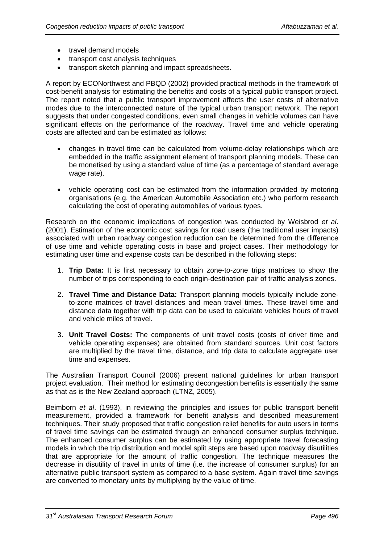- travel demand models
- transport cost analysis techniques
- transport sketch planning and impact spreadsheets.

A report by ECONorthwest and PBQD (2002) provided practical methods in the framework of cost-benefit analysis for estimating the benefits and costs of a typical public transport project. The report noted that a public transport improvement affects the user costs of alternative modes due to the interconnected nature of the typical urban transport network. The report suggests that under congested conditions, even small changes in vehicle volumes can have significant effects on the performance of the roadway. Travel time and vehicle operating costs are affected and can be estimated as follows:

- changes in travel time can be calculated from volume-delay relationships which are embedded in the traffic assignment element of transport planning models. These can be monetised by using a standard value of time (as a percentage of standard average wage rate).
- vehicle operating cost can be estimated from the information provided by motoring organisations (e.g. the American Automobile Association etc.) who perform research calculating the cost of operating automobiles of various types.

Research on the economic implications of congestion was conducted by Weisbrod *et al*. (2001). Estimation of the economic cost savings for road users (the traditional user impacts) associated with urban roadway congestion reduction can be determined from the difference of use time and vehicle operating costs in base and project cases. Their methodology for estimating user time and expense costs can be described in the following steps:

- 1. **Trip Data:** It is first necessary to obtain zone-to-zone trips matrices to show the number of trips corresponding to each origin-destination pair of traffic analysis zones.
- 2. **Travel Time and Distance Data:** Transport planning models typically include zoneto-zone matrices of travel distances and mean travel times. These travel time and distance data together with trip data can be used to calculate vehicles hours of travel and vehicle miles of travel.
- 3. **Unit Travel Costs:** The components of unit travel costs (costs of driver time and vehicle operating expenses) are obtained from standard sources. Unit cost factors are multiplied by the travel time, distance, and trip data to calculate aggregate user time and expenses.

The Australian Transport Council (2006) present national guidelines for urban transport project evaluation. Their method for estimating decongestion benefits is essentially the same as that as is the New Zealand approach (LTNZ, 2005).

Beimborn *et al*. (1993), in reviewing the principles and issues for public transport benefit measurement, provided a framework for benefit analysis and described measurement techniques. Their study proposed that traffic congestion relief benefits for auto users in terms of travel time savings can be estimated through an enhanced consumer surplus technique. The enhanced consumer surplus can be estimated by using appropriate travel forecasting models in which the trip distribution and model split steps are based upon roadway disutilities that are appropriate for the amount of traffic congestion. The technique measures the decrease in disutility of travel in units of time (i.e. the increase of consumer surplus) for an alternative public transport system as compared to a base system. Again travel time savings are converted to monetary units by multiplying by the value of time.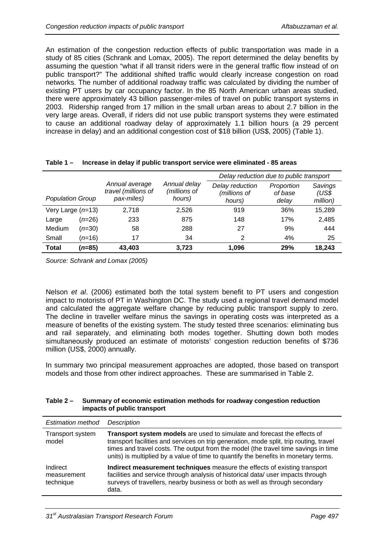An estimation of the congestion reduction effects of public transportation was made in a study of 85 cities (Schrank and Lomax, 2005). The report determined the delay benefits by assuming the question "what if all transit riders were in the general traffic flow instead of on public transport?" The additional shifted traffic would clearly increase congestion on road networks. The number of additional roadway traffic was calculated by dividing the number of existing PT users by car occupancy factor. In the 85 North American urban areas studied, there were approximately 43 billion passenger-miles of travel on public transport systems in 2003. Ridership ranged from 17 million in the small urban areas to about 2.7 billion in the very large areas. Overall, if riders did not use public transport systems they were estimated to cause an additional roadway delay of approximately 1.1 billion hours (a 29 percent increase in delay) and an additional congestion cost of \$18 billion (US\$, 2005) [\(Table 1](#page-2-0)).

<span id="page-2-0"></span>

|                         |                 |                                                     |                                        | Delay reduction due to public transport   |                                |                              |  |
|-------------------------|-----------------|-----------------------------------------------------|----------------------------------------|-------------------------------------------|--------------------------------|------------------------------|--|
| <b>Population Group</b> |                 | Annual average<br>travel (millions of<br>pax-miles) | Annual delay<br>(millions of<br>hours) | Delay reduction<br>(millions of<br>hours) | Proportion<br>of base<br>delay | Savings<br>(US\$<br>million) |  |
| Very Large $(n=13)$     |                 | 2,718                                               | 2.526                                  | 919                                       | 36%                            | 15,289                       |  |
| Large                   | $(n=26)$        | 233                                                 | 875                                    | 148                                       | 17%                            | 2,485                        |  |
| Medium                  | $(n=30)$        | 58                                                  | 288                                    | 27                                        | 9%                             | 444                          |  |
| Small                   | $(n=16)$        | 17                                                  | 34                                     | 2                                         | 4%                             | 25                           |  |
| <b>Total</b>            | ( <i>n</i> =85) | 43,403                                              | 3,723                                  | 1,096                                     | 29%                            | 18.243                       |  |

|  |  | Table 1 - Increase in delay if public transport service were eliminated - 85 areas |
|--|--|------------------------------------------------------------------------------------|
|  |  |                                                                                    |

*Source: Schrank and Lomax (2005)* 

Nelson *et al*. (2006) estimated both the total system benefit to PT users and congestion impact to motorists of PT in Washington DC. The study used a regional travel demand model and calculated the aggregate welfare change by reducing public transport supply to zero. The decline in traveller welfare minus the savings in operating costs was interpreted as a measure of benefits of the existing system. The study tested three scenarios: eliminating bus and rail separately, and eliminating both modes together. Shutting down both modes simultaneously produced an estimate of motorists' congestion reduction benefits of \$736 million (US\$, 2000) annually.

In summary two principal measurement approaches are adopted, those based on transport models and those from other indirect approaches. These are summarised in [Table 2](#page-2-1).

<span id="page-2-1"></span>

| Table 2 – Summary of economic estimation methods for roadway congestion reduction |
|-----------------------------------------------------------------------------------|
| impacts of public transport                                                       |

| <b>Estimation method</b>             | <b>Description</b>                                                                                                                                                                                                                                                                                                                              |
|--------------------------------------|-------------------------------------------------------------------------------------------------------------------------------------------------------------------------------------------------------------------------------------------------------------------------------------------------------------------------------------------------|
| Transport system<br>model            | Transport system models are used to simulate and forecast the effects of<br>transport facilities and services on trip generation, mode split, trip routing, travel<br>times and travel costs. The output from the model (the travel time savings in time<br>units) is multiplied by a value of time to quantify the benefits in monetary terms. |
| Indirect<br>measurement<br>technique | Indirect measurement techniques measure the effects of existing transport<br>facilities and service through analysis of historical data/ user impacts through<br>surveys of travellers, nearby business or both as well as through secondary<br>data.                                                                                           |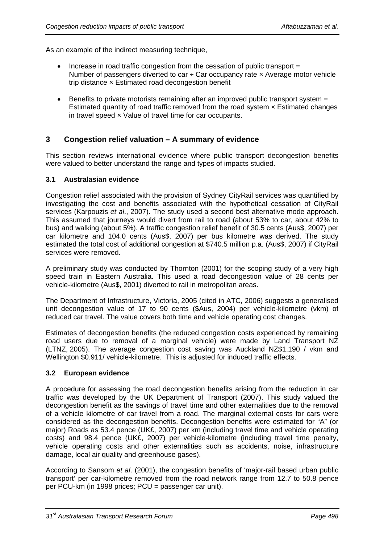As an example of the indirect measuring technique,

- Increase in road traffic congestion from the cessation of public transport  $=$ Number of passengers diverted to car  $\div$  Car occupancy rate  $\times$  Average motor vehicle trip distance × Estimated road decongestion benefit
- Benefits to private motorists remaining after an improved public transport system = Estimated quantity of road traffic removed from the road system × Estimated changes in travel speed × Value of travel time for car occupants.

# **3 Congestion relief valuation – A summary of evidence**

This section reviews international evidence where public transport decongestion benefits were valued to better understand the range and types of impacts studied.

### **3.1 Australasian evidence**

Congestion relief associated with the provision of Sydney CityRail services was quantified by investigating the cost and benefits associated with the hypothetical cessation of CityRail services (Karpouzis *et al*., 2007). The study used a second best alternative mode approach. This assumed that journeys would divert from rail to road (about 53% to car, about 42% to bus) and walking (about 5%). A traffic congestion relief benefit of 30.5 cents (Aus\$, 2007) per car kilometre and 104.0 cents (Aus\$, 2007) per bus kilometre was derived. The study estimated the total cost of additional congestion at \$740.5 million p.a. (Aus\$, 2007) if CityRail services were removed.

A preliminary study was conducted by Thornton (2001) for the scoping study of a very high speed train in Eastern Australia. This used a road decongestion value of 28 cents per vehicle-kilometre (Aus\$, 2001) diverted to rail in metropolitan areas.

The Department of Infrastructure, Victoria, 2005 (cited in ATC, 2006) suggests a generalised unit decongestion value of 17 to 90 cents (\$Aus, 2004) per vehicle-kilometre (vkm) of reduced car travel. The value covers both time and vehicle operating cost changes.

Estimates of decongestion benefits (the reduced congestion costs experienced by remaining road users due to removal of a marginal vehicle) were made by Land Transport NZ (LTNZ, 2005). The average congestion cost saving was Auckland NZ\$1.190 / vkm and Wellington \$0.911/ vehicle-kilometre. This is adjusted for induced traffic effects.

#### **3.2 European evidence**

A procedure for assessing the road decongestion benefits arising from the reduction in car traffic was developed by the UK Department of Transport (2007). This study valued the decongestion benefit as the savings of travel time and other externalities due to the removal of a vehicle kilometre of car travel from a road. The marginal external costs for cars were considered as the decongestion benefits. Decongestion benefits were estimated for "A" (or major) Roads as 53.4 pence (UK£, 2007) per km (including travel time and vehicle operating costs) and 98.4 pence (UK£, 2007) per vehicle-kilometre (including travel time penalty, vehicle operating costs and other externalities such as accidents, noise, infrastructure damage, local air quality and greenhouse gases).

According to Sansom *et al*. (2001), the congestion benefits of 'major-rail based urban public transport' per car-kilometre removed from the road network range from 12.7 to 50.8 pence per PCU-km (in 1998 prices; PCU = passenger car unit).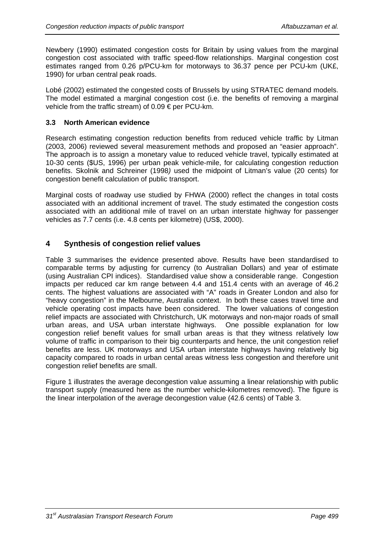Newbery (1990) estimated congestion costs for Britain by using values from the marginal congestion cost associated with traffic speed-flow relationships. Marginal congestion cost estimates ranged from 0.26 p/PCU-km for motorways to 36.37 pence per PCU-km (UK£, 1990) for urban central peak roads.

Lobé (2002) estimated the congested costs of Brussels by using STRATEC demand models. The model estimated a marginal congestion cost (i.e. the benefits of removing a marginal vehicle from the traffic stream) of 0.09 € per PCU-km.

## **3.3 North American evidence**

Research estimating congestion reduction benefits from reduced vehicle traffic by Litman (2003, 2006) reviewed several measurement methods and proposed an "easier approach". The approach is to assign a monetary value to reduced vehicle travel, typically estimated at 10-30 cents (\$US, 1996) per urban peak vehicle-mile, for calculating congestion reduction benefits. Skolnik and Schreiner (1998*)* used the midpoint of Litman's value (20 cents) for congestion benefit calculation of public transport.

Marginal costs of roadway use studied by FHWA (2000) reflect the changes in total costs associated with an additional increment of travel. The study estimated the congestion costs associated with an additional mile of travel on an urban interstate highway for passenger vehicles as 7.7 cents (i.e. 4.8 cents per kilometre) (US\$, 2000).

# **4 Synthesis of congestion relief values**

[Table 3](#page-5-0) summarises the evidence presented above. Results have been standardised to comparable terms by adjusting for currency (to Australian Dollars) and year of estimate (using Australian CPI indices). Standardised value show a considerable range. Congestion impacts per reduced car km range between 4.4 and 151.4 cents with an average of 46.2 cents. The highest valuations are associated with "A" roads in Greater London and also for "heavy congestion" in the Melbourne, Australia context. In both these cases travel time and vehicle operating cost impacts have been considered. The lower valuations of congestion relief impacts are associated with Christchurch, UK motorways and non-major roads of small urban areas, and USA urban interstate highways. One possible explanation for low congestion relief benefit values for small urban areas is that they witness relatively low volume of traffic in comparison to their big counterparts and hence, the unit congestion relief benefits are less. UK motorways and USA urban interstate highways having relatively big capacity compared to roads in urban cental areas witness less congestion and therefore unit congestion relief benefits are small.

[Figure 1](#page-6-0) illustrates the average decongestion value assuming a linear relationship with public transport supply (measured here as the number vehicle-kilometres removed). The figure is the linear interpolation of the average decongestion value (42.6 cents) of [Table 3.](#page-5-0)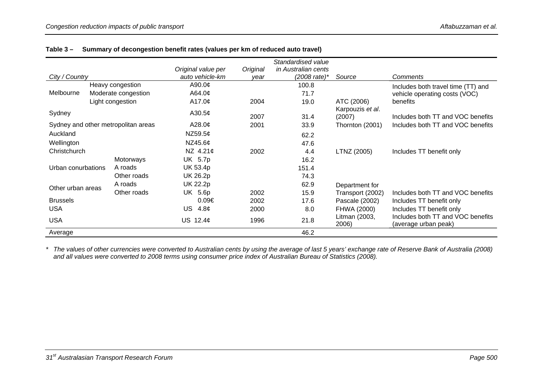|                    |  |                                     |                                       |                  | Standardised value                             |                        |                                                           |
|--------------------|--|-------------------------------------|---------------------------------------|------------------|------------------------------------------------|------------------------|-----------------------------------------------------------|
| City / Country     |  |                                     | Original value per<br>auto vehicle-km | Original<br>vear | in Australian cents<br>$(2008 \text{ rate})^*$ | Source                 | Comments                                                  |
|                    |  | Heavy congestion                    | A90.0¢                                |                  | 100.8                                          |                        | Includes both travel time (TT) and                        |
| Melbourne          |  | Moderate congestion                 | A64.0¢                                |                  | 71.7                                           |                        | vehicle operating costs (VOC)                             |
|                    |  | Light congestion                    | A17.0 $\phi$                          | 2004             | 19.0                                           | ATC (2006)             | benefits                                                  |
| Sydney             |  |                                     | A30.5 $\phi$                          |                  |                                                | Karpouzis et al.       |                                                           |
|                    |  |                                     |                                       | 2007             | 31.4                                           | (2007)                 | Includes both TT and VOC benefits                         |
|                    |  | Sydney and other metropolitan areas | A28.0 $\phi$                          | 2001             | 33.9                                           | Thornton (2001)        | Includes both TT and VOC benefits                         |
| Auckland           |  |                                     | NZ59.5 $¢$                            |                  | 62.2                                           |                        |                                                           |
| Wellington         |  |                                     | NZ45.6 $\phi$                         |                  | 47.6                                           |                        |                                                           |
| Christchurch       |  |                                     | NZ $4.21¢$                            | 2002             | 4.4                                            | LTNZ (2005)            | Includes TT benefit only                                  |
|                    |  | Motorways                           | UK 5.7p                               |                  | 16.2                                           |                        |                                                           |
| Urban conurbations |  | A roads                             | UK 53.4p                              |                  | 151.4                                          |                        |                                                           |
|                    |  | Other roads                         | UK 26.2p                              |                  | 74.3                                           |                        |                                                           |
| Other urban areas  |  | A roads                             | <b>UK 22.2p</b>                       |                  | 62.9                                           | Department for         |                                                           |
|                    |  | Other roads                         | UK 5.6p                               | 2002             | 15.9                                           | Transport (2002)       | Includes both TT and VOC benefits                         |
| <b>Brussels</b>    |  |                                     | $0.09 \in$                            | 2002             | 17.6                                           | Pascale (2002)         | Includes TT benefit only                                  |
| <b>USA</b>         |  |                                     | US<br>4.8 <sub>c</sub>                | 2000             | 8.0                                            | FHWA (2000)            | Includes TT benefit only                                  |
| <b>USA</b>         |  |                                     | US $12.4¢$                            | 1996             | 21.8                                           | Litman (2003,<br>2006) | Includes both TT and VOC benefits<br>(average urban peak) |
| Average            |  |                                     |                                       |                  | 46.2                                           |                        |                                                           |

## **Table 3 – Summary of decongestion benefit rates (values per km of reduced auto travel)**

<span id="page-5-0"></span>*\* The values of other currencies were converted to Australian cents by using the average of last 5 years' exchange rate of Reserve Bank of Australia (2008)*  and all values were converted to 2008 terms using consumer price index of Australian Bureau of Statistics (2008).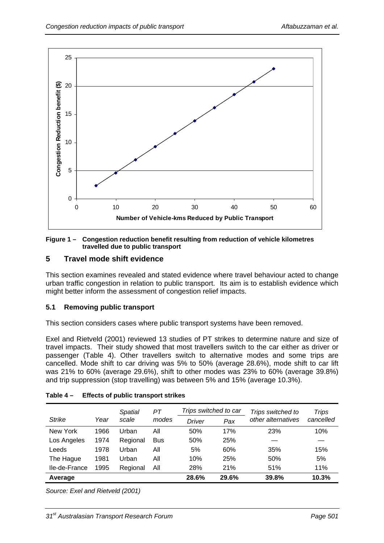

#### <span id="page-6-0"></span>**Figure 1 – Congestion reduction benefit resulting from reduction of vehicle kilometres travelled due to public transport**

# **5 Travel mode shift evidence**

This section examines revealed and stated evidence where travel behaviour acted to change urban traffic congestion in relation to public transport. Its aim is to establish evidence which might better inform the assessment of congestion relief impacts.

## **5.1 Removing public transport**

This section considers cases where public transport systems have been removed.

Exel and Rietveld (2001) reviewed 13 studies of PT strikes to determine nature and size of travel impacts. Their study showed that most travellers switch to the car either as driver or passenger ([Table 4\)](#page-6-1). Other travellers switch to alternative modes and some trips are cancelled. Mode shift to car driving was 5% to 50% (average 28.6%), mode shift to car lift was 21% to 60% (average 29.6%), shift to other modes was 23% to 60% (average 39.8%) and trip suppression (stop travelling) was between 5% and 15% (average 10.3%).

<span id="page-6-1"></span>

|               |      | Spatial  | РT         | Trips switched to car |       | Trips switched to  | <b>Trips</b> |
|---------------|------|----------|------------|-----------------------|-------|--------------------|--------------|
| <b>Strike</b> | Year | scale    | modes      | Driver                | Pax   | other alternatives | cancelled    |
| New York      | 1966 | Urban    | All        | 50%                   | 17%   | 23%                | 10%          |
| Los Angeles   | 1974 | Regional | <b>Bus</b> | 50%                   | 25%   |                    |              |
| Leeds         | 1978 | Urban    | All        | 5%                    | 60%   | 35%                | 15%          |
| The Hague     | 1981 | Urban    | All        | 10%                   | 25%   | 50%                | 5%           |
| Ile-de-France | 1995 | Regional | All        | 28%                   | 21%   | 51%                | 11%          |
| Average       |      |          |            | 28.6%                 | 29.6% | 39.8%              | 10.3%        |

## **Table 4 – Effects of public transport strikes**

*Source: Exel and Rietveld (2001)*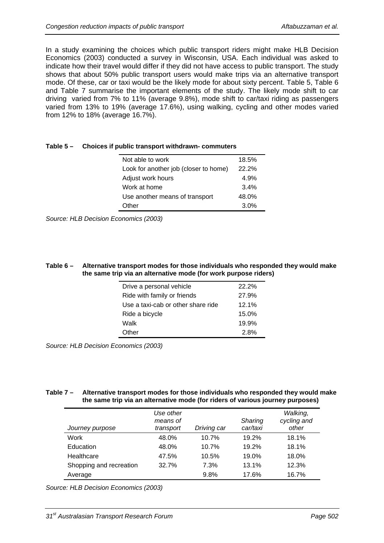In a study examining the choices which public transport riders might make HLB Decision Economics (2003) conducted a survey in Wisconsin, USA. Each individual was asked to indicate how their travel would differ if they did not have access to public transport. The study shows that about 50% public transport users would make trips via an alternative transport mode. Of these, car or taxi would be the likely mode for about sixty percent. [Table 5](#page-7-0), [Table 6](#page-7-1) and [Table 7](#page-7-2) summarise the important elements of the study. The likely mode shift to car driving varied from 7% to 11% (average 9.8%), mode shift to car/taxi riding as passengers varied from 13% to 19% (average 17.6%), using walking, cycling and other modes varied from 12% to 18% (average 16.7%).

| $\mu$ ic J $-$ Undices ir public transport withurawii- commuters |                                       |       |  |  |  |
|------------------------------------------------------------------|---------------------------------------|-------|--|--|--|
|                                                                  | Not able to work                      | 18.5% |  |  |  |
|                                                                  | Look for another job (closer to home) | 22.2% |  |  |  |
|                                                                  | Adjust work hours                     | 4.9%  |  |  |  |
|                                                                  | Work at home                          | 3.4%  |  |  |  |
|                                                                  | Use another means of transport        | 48.0% |  |  |  |
|                                                                  | Other                                 | 3.0%  |  |  |  |

<span id="page-7-0"></span>

*Source: HLB Decision Economics (2003)* 

#### <span id="page-7-1"></span>**Table 6 – Alternative transport modes for those individuals who responded they would make the same trip via an alternative mode (for work purpose riders)**

| Drive a personal vehicle           | 22.2% |
|------------------------------------|-------|
| Ride with family or friends        | 27.9% |
| Use a taxi-cab or other share ride | 12.1% |
| Ride a bicycle                     | 15.0% |
| Walk                               | 19.9% |
| Other                              | 28%   |

*Source: HLB Decision Economics (2003)* 

#### <span id="page-7-2"></span>**Table 7 – Alternative transport modes for those individuals who responded they would make the same trip via an alternative mode (for riders of various journey purposes)**

| Journey purpose         | Use other<br>means of<br>transport | Driving car | Sharing<br>car/taxi | Walking,<br>cycling and<br>other |
|-------------------------|------------------------------------|-------------|---------------------|----------------------------------|
| Work                    | 48.0%                              | 10.7%       | 19.2%               | 18.1%                            |
| Education               | 48.0%                              | 10.7%       | 19.2%               | 18.1%                            |
| Healthcare              | 47.5%                              | 10.5%       | 19.0%               | 18.0%                            |
| Shopping and recreation | 32.7%                              | 7.3%        | 13.1%               | 12.3%                            |
| Average                 |                                    | 9.8%        | 17.6%               | 16.7%                            |

*Source: HLB Decision Economics (2003)*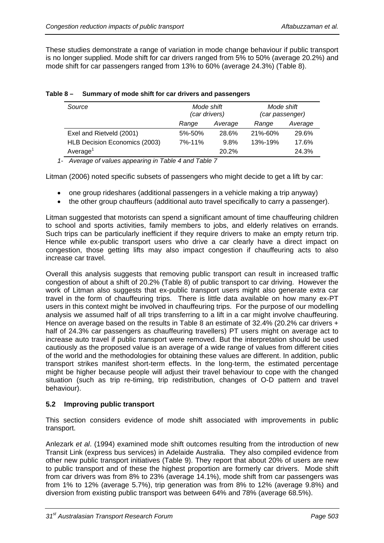These studies demonstrate a range of variation in mode change behaviour if public transport is no longer supplied. Mode shift for car drivers ranged from 5% to 50% (average 20.2%) and mode shift for car passengers ranged from 13% to 60% (average 24.3%) ([Table 8](#page-8-0)).

| Source                        |              | Mode shift<br>(car drivers) |         | Mode shift<br>(car passenger) |  |
|-------------------------------|--------------|-----------------------------|---------|-------------------------------|--|
|                               | Range        | Average                     | Range   | Average                       |  |
| Exel and Rietveld (2001)      | 5%-50%       | 28.6%                       | 21%-60% | 29.6%                         |  |
| HLB Decision Economics (2003) | $7\% - 11\%$ | 9.8%                        | 13%-19% | 17.6%                         |  |
| Average <sup>1</sup>          |              | 20.2%                       |         | 24.3%                         |  |

<span id="page-8-0"></span>

|  | Table 8 - Summary of mode shift for car drivers and passengers |
|--|----------------------------------------------------------------|
|--|----------------------------------------------------------------|

*1- Average of values appearing in [Table 4](#page-6-1) and [Table 7](#page-7-2)*

Litman (2006) noted specific subsets of passengers who might decide to get a lift by car:

- one group rideshares (additional passengers in a vehicle making a trip anyway)
- the other group chauffeurs (additional auto travel specifically to carry a passenger).

Litman suggested that motorists can spend a significant amount of time chauffeuring children to school and sports activities, family members to jobs, and elderly relatives on errands. Such trips can be particularly inefficient if they require drivers to make an empty return trip. Hence while ex-public transport users who drive a car clearly have a direct impact on congestion, those getting lifts may also impact congestion if chauffeuring acts to also increase car travel.

Overall this analysis suggests that removing public transport can result in increased traffic congestion of about a shift of 20.2% [\(Table 8](#page-8-0)) of public transport to car driving. However the work of Litman also suggests that ex-public transport users might also generate extra car travel in the form of chauffeuring trips. There is little data available on how many ex-PT users in this context might be involved in chauffeuring trips. For the purpose of our modelling analysis we assumed half of all trips transferring to a lift in a car might involve chauffeuring. Hence on average based on the results in [Table 8](#page-8-0) an estimate of 32.4% (20.2% car drivers + half of 24.3% car passengers as chauffeuring travellers) PT users might on average act to increase auto travel if public transport were removed. But the interpretation should be used cautiously as the proposed value is an average of a wide range of values from different cities of the world and the methodologies for obtaining these values are different. In addition, public transport strikes manifest short-term effects. In the long-term, the estimated percentage might be higher because people will adjust their travel behaviour to cope with the changed situation (such as trip re-timing, trip redistribution, changes of O-D pattern and travel behaviour).

## **5.2 Improving public transport**

This section considers evidence of mode shift associated with improvements in public transport.

Anlezark *et al*. (1994) examined mode shift outcomes resulting from the introduction of new Transit Link (express bus services) in Adelaide Australia. They also compiled evidence from other new public transport initiatives [\(Table 9](#page-9-0)). They report that about 20% of users are new to public transport and of these the highest proportion are formerly car drivers. Mode shift from car drivers was from 8% to 23% (average 14.1%), mode shift from car passengers was from 1% to 12% (average 5.7%), trip generation was from 8% to 12% (average 9.8%) and diversion from existing public transport was between 64% and 78% (average 68.5%).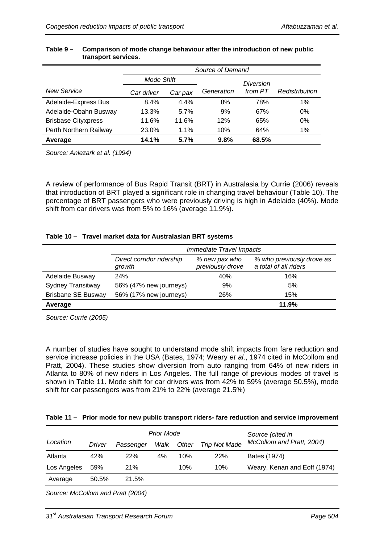<span id="page-9-0"></span>

|                            | Source of Demand |         |            |           |                |  |
|----------------------------|------------------|---------|------------|-----------|----------------|--|
|                            | Mode Shift       |         |            | Diversion |                |  |
| <b>New Service</b>         | Car driver       | Car pax | Generation | from PT   | Redistribution |  |
| Adelaide-Express Bus       | 8.4%             | 4.4%    | 8%         | 78%       | 1%             |  |
| Adelaide-Obahn Busway      | 13.3%            | 5.7%    | 9%         | 67%       | 0%             |  |
| <b>Brisbase Cityxpress</b> | 11.6%            | 11.6%   | 12%        | 65%       | 0%             |  |
| Perth Northern Railway     | 23.0%            | 1.1%    | 10%        | 64%       | 1%             |  |
| Average                    | 14.1%            | 5.7%    | 9.8%       | 68.5%     |                |  |

#### **Table 9 – Comparison of mode change behaviour after the introduction of new public transport services.**

*Source: Anlezark et al. (1994)* 

A review of performance of Bus Rapid Transit (BRT) in Australasia by Currie (2006) reveals that introduction of BRT played a significant role in changing travel behaviour ([Table 10\)](#page-9-1). The percentage of BRT passengers who were previously driving is high in Adelaide (40%). Mode shift from car drivers was from 5% to 16% (average 11.9%).

## **Table 10 – Travel market data for Australasian BRT systems**

<span id="page-9-1"></span>

|                           | Immediate Travel Impacts            |                                   |                                                    |  |  |
|---------------------------|-------------------------------------|-----------------------------------|----------------------------------------------------|--|--|
|                           | Direct corridor ridership<br>growth | % new pax who<br>previously drove | % who previously drove as<br>a total of all riders |  |  |
| Adelaide Busway           | <b>24%</b>                          | 40%                               | 16%                                                |  |  |
| <b>Sydney Transitway</b>  | 56% (47% new journeys)              | 9%                                | 5%                                                 |  |  |
| <b>Brisbane SE Busway</b> | 56% (17% new journeys)              | 26%                               | 15%                                                |  |  |
| Average                   |                                     |                                   | 11.9%                                              |  |  |

*Source: Currie (2005)* 

A number of studies have sought to understand mode shift impacts from fare reduction and service increase policies in the USA (Bates, 1974; Weary *et al*., 1974 cited in McCollom and Pratt, 2004). These studies show diversion from auto ranging from 64% of new riders in Atlanta to 80% of new riders in Los Angeles. The full range of previous modes of travel is shown in [Table 11.](#page-9-2) Mode shift for car drivers was from 42% to 59% (average 50.5%), mode shift for car passengers was from 21% to 22% (average 21.5%)

#### <span id="page-9-2"></span>**Table 11 – Prior mode for new public transport riders- fare reduction and service improvement**

|             | <b>Prior Mode</b> |            |      |       | Source (cited in     |                              |  |
|-------------|-------------------|------------|------|-------|----------------------|------------------------------|--|
| Location    | Driver            | Passenger  | Walk | Other | <b>Trip Not Made</b> | McCollom and Pratt, 2004)    |  |
| Atlanta     | 42%               | <b>22%</b> | 4%   | 10%   | <b>22%</b>           | Bates (1974)                 |  |
| Los Angeles | 59%               | <b>21%</b> |      | 10%   | 10%                  | Weary, Kenan and Eoff (1974) |  |
| Average     | 50.5%             | 21.5%      |      |       |                      |                              |  |

*Source: McCollom and Pratt (2004)*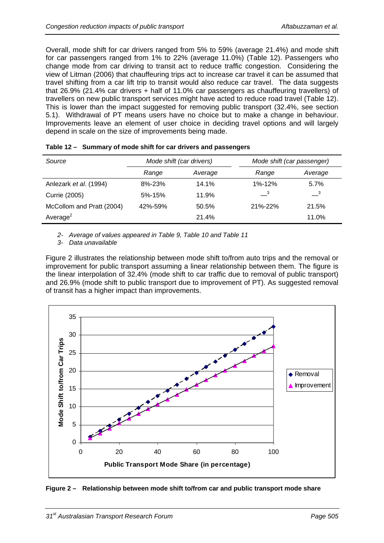Overall, mode shift for car drivers ranged from 5% to 59% (average 21.4%) and mode shift for car passengers ranged from 1% to 22% (average 11.0%) [\(Table 12](#page-10-0)). Passengers who change mode from car driving to transit act to reduce traffic congestion. Considering the view of Litman (2006) that chauffeuring trips act to increase car travel it can be assumed that travel shifting from a car lift trip to transit would also reduce car travel. The data suggests that 26.9% (21.4% car drivers + half of 11.0% car passengers as chauffeuring travellers) of travellers on new public transport services might have acted to reduce road travel ([Table 12\)](#page-10-0). This is lower than the impact suggested for removing public transport (32.4%, see section 5.1). Withdrawal of PT means users have no choice but to make a change in behaviour. Improvements leave an element of user choice in deciding travel options and will largely depend in scale on the size of improvements being made.

<span id="page-10-0"></span>

| Source                    | Mode shift (car drivers) |         | Mode shift (car passenger) |                            |
|---------------------------|--------------------------|---------|----------------------------|----------------------------|
|                           | Range                    | Average | Range                      | Average                    |
| Anlezark et al. (1994)    | 8%-23%                   | 14.1%   | 1%-12%                     | 5.7%                       |
| Currie (2005)             | $5% - 15%$               | 11.9%   | $\overline{\phantom{0}}^3$ | $\overline{\phantom{0}}^3$ |
| McCollom and Pratt (2004) | 42%-59%                  | 50.5%   | 21%-22%                    | 21.5%                      |
| Average $2$               |                          | 21.4%   |                            | 11.0%                      |

|  | Table 12 - Summary of mode shift for car drivers and passengers |
|--|-----------------------------------------------------------------|
|--|-----------------------------------------------------------------|

*2- Average of values appeared in [Table 9,](#page-9-0) [Table 10](#page-9-1) and [Table 11](#page-9-2)*

*3- Data unavailable* 

[Figure 2](#page-10-1) illustrates the relationship between mode shift to/from auto trips and the removal or improvement for public transport assuming a linear relationship between them. The figure is the linear interpolation of 32.4% (mode shift to car traffic due to removal of public transport) and 26.9% (mode shift to public transport due to improvement of PT). As suggested removal of transit has a higher impact than improvements.



<span id="page-10-1"></span>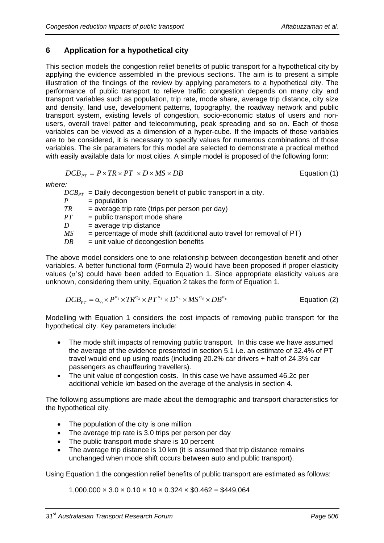# **6 Application for a hypothetical city**

This section models the congestion relief benefits of public transport for a hypothetical city by applying the evidence assembled in the previous sections. The aim is to present a simple illustration of the findings of the review by applying parameters to a hypothetical city. The performance of public transport to relieve traffic congestion depends on many city and transport variables such as population, trip rate, mode share, average trip distance, city size and density, land use, development patterns, topography, the roadway network and public transport system, existing levels of congestion, socio-economic status of users and nonusers, overall travel patter and telecommuting, peak spreading and so on. Each of those variables can be viewed as a dimension of a hyper-cube. If the impacts of those variables are to be considered, it is necessary to specify values for numerous combinations of those variables. The six parameters for this model are selected to demonstrate a practical method with easily available data for most cities. A simple model is proposed of the following form:

$$
DCB_{pr} = P \times TR \times PT \times D \times MS \times DB
$$

*Pation (1)* 

*where:* 

 $DCB_{PT}$  = Daily decongestion benefit of public transport in a city.  $P =$ population  $TR = average trip rate (trips per person per day)$  $PT =$  public transport mode share  $D =$ average trip distance  $MS =$  percentage of mode shift (additional auto travel for removal of PT)  $DB$  = unit value of decongestion benefits

The above model considers one to one relationship between decongestion benefit and other variables. A better functional form (Formula 2) would have been proposed if proper elasticity values  $(\alpha)$ 's) could have been added to Equation 1. Since appropriate elasticity values are

unknown, considering them unity, Equation 2 takes the form of Equation 1.

$$
DCB_{PT} = \alpha_0 \times P^{\alpha_1} \times TR^{\alpha_2} \times PT^{\alpha_3} \times D^{\alpha_4} \times MS^{\alpha_5} \times DB^{\alpha_6}
$$
 \tEquation (2)

Modelling with Equation 1 considers the cost impacts of removing public transport for the hypothetical city. Key parameters include:

- The mode shift impacts of removing public transport. In this case we have assumed the average of the evidence presented in section 5.1 i.e. an estimate of 32.4% of PT travel would end up using roads (including 20.2% car drivers + half of 24.3% car passengers as chauffeuring travellers).
- The unit value of congestion costs. In this case we have assumed 46.2c per additional vehicle km based on the average of the analysis in section 4.

The following assumptions are made about the demographic and transport characteristics for the hypothetical city.

- The population of the city is one million
- The average trip rate is 3.0 trips per person per day
- The public transport mode share is 10 percent
- The average trip distance is 10 km (it is assumed that trip distance remains unchanged when mode shift occurs between auto and public transport).

Using Equation 1 the congestion relief benefits of public transport are estimated as follows:

 $1,000,000 \times 3.0 \times 0.10 \times 10 \times 0.324 \times $0.462 = $449,064$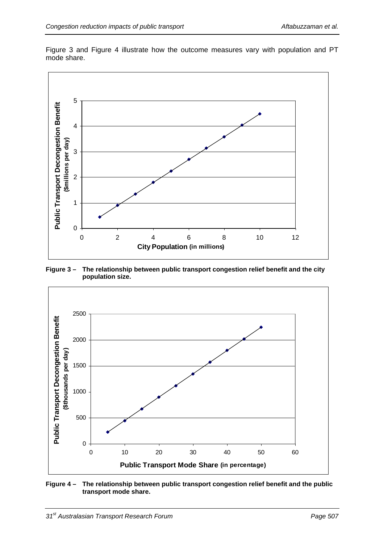

[Figure 3](#page-12-0) and [Figure 4](#page-12-1) illustrate how the outcome measures vary with population and PT mode share.

<span id="page-12-0"></span>**Figure 3 – The relationship between public transport congestion relief benefit and the city population size.** 



<span id="page-12-1"></span>**Figure 4 – The relationship between public transport congestion relief benefit and the public transport mode share.**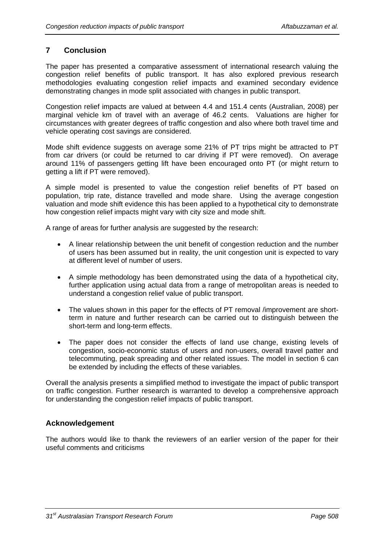# **7 Conclusion**

The paper has presented a comparative assessment of international research valuing the congestion relief benefits of public transport. It has also explored previous research methodologies evaluating congestion relief impacts and examined secondary evidence demonstrating changes in mode split associated with changes in public transport.

Congestion relief impacts are valued at between 4.4 and 151.4 cents (Australian, 2008) per marginal vehicle km of travel with an average of 46.2 cents. Valuations are higher for circumstances with greater degrees of traffic congestion and also where both travel time and vehicle operating cost savings are considered.

Mode shift evidence suggests on average some 21% of PT trips might be attracted to PT from car drivers (or could be returned to car driving if PT were removed). On average around 11% of passengers getting lift have been encouraged onto PT (or might return to getting a lift if PT were removed).

A simple model is presented to value the congestion relief benefits of PT based on population, trip rate, distance travelled and mode share. Using the average congestion valuation and mode shift evidence this has been applied to a hypothetical city to demonstrate how congestion relief impacts might vary with city size and mode shift.

A range of areas for further analysis are suggested by the research:

- A linear relationship between the unit benefit of congestion reduction and the number of users has been assumed but in reality, the unit congestion unit is expected to vary at different level of number of users.
- A simple methodology has been demonstrated using the data of a hypothetical city, further application using actual data from a range of metropolitan areas is needed to understand a congestion relief value of public transport.
- The values shown in this paper for the effects of PT removal /improvement are shortterm in nature and further research can be carried out to distinguish between the short-term and long-term effects.
- The paper does not consider the effects of land use change, existing levels of congestion, socio-economic status of users and non-users, overall travel patter and telecommuting, peak spreading and other related issues. The model in section 6 can be extended by including the effects of these variables.

Overall the analysis presents a simplified method to investigate the impact of public transport on traffic congestion. Further research is warranted to develop a comprehensive approach for understanding the congestion relief impacts of public transport.

# **Acknowledgement**

The authors would like to thank the reviewers of an earlier version of the paper for their useful comments and criticisms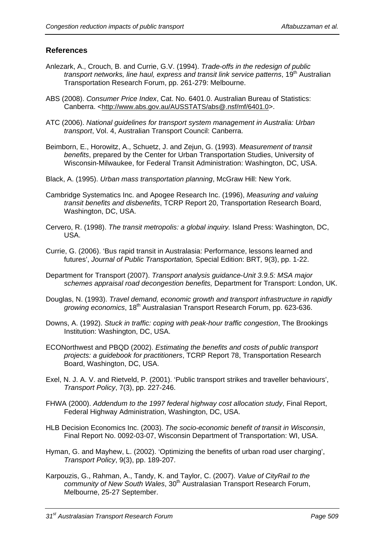# **References**

- Anlezark, A., Crouch, B. and Currie, G.V. (1994). *Trade-offs in the redesign of public transport networks, line haul, express and transit link service patterns,* 19<sup>th</sup> Australian Transportation Research Forum, pp. 261-279: Melbourne.
- ABS (2008). *Consumer Price Index*, Cat. No. 6401.0. Australian Bureau of Statistics: Canberra. <<http://www.abs.gov.au/AUSSTATS/abs@.nsf/mf/6401.0>>.
- ATC (2006). *National guidelines for transport system management in Australia: Urban transport*, Vol. 4, Australian Transport Council: Canberra.
- Beimborn, E., Horowitz, A., Schuetz, J. and Zejun, G. (1993). *Measurement of transit benefits*, prepared by the Center for Urban Transportation Studies, University of Wisconsin-Milwaukee, for Federal Transit Administration: Washington, DC, USA.
- Black, A. (1995). *Urban mass transportation planning*, McGraw Hill: New York.
- Cambridge Systematics Inc. and Apogee Research Inc. (1996), *Measuring and valuing transit benefits and disbenefits*, TCRP Report 20, Transportation Research Board, Washington, DC, USA.
- Cervero, R. (1998). *The transit metropolis: a global inquiry.* Island Press: Washington, DC, USA.
- Currie, G. (2006). 'Bus rapid transit in Australasia: Performance, lessons learned and futures', *Journal of Public Transportation,* Special Edition: BRT*,* 9(3), pp. 1-22.
- Department for Transport (2007). *Transport analysis guidance*-*Unit 3.9.5: MSA major schemes appraisal road decongestion benefits,* Department for Transport: London, UK.
- Douglas, N. (1993). *Travel demand, economic growth and transport infrastructure in rapidly growing economics*, 18th Australasian Transport Research Forum, pp. 623-636.
- Downs, A. (1992). *Stuck in traffic: coping with peak-hour traffic congestion*, The Brookings Institution: Washington, DC, USA.
- ECONorthwest and PBQD (2002). *Estimating the benefits and costs of public transport projects: a guidebook for practitioners*, TCRP Report 78, Transportation Research Board, Washington, DC, USA.
- Exel, N. J. A. V. and Rietveld, P. (2001). 'Public transport strikes and traveller behaviours', *Transport Policy*, 7(3), pp. 227-246.
- FHWA (2000). *Addendum to the 1997 federal highway cost allocation study*, Final Report, Federal Highway Administration, Washington, DC, USA.
- HLB Decision Economics Inc. (2003). *The socio-economic benefit of transit in Wisconsin*, Final Report No. 0092-03-07, Wisconsin Department of Transportation: WI, USA.
- Hyman, G. and Mayhew, L. (2002). 'Optimizing the benefits of urban road user charging', *Transport Policy*, 9(3), pp. 189-207.
- Karpouzis, G., Rahman, A., Tandy, K. and Taylor, C. (2007). *Value of CityRail to the community of New South Wales*, 30<sup>th</sup> Australasian Transport Research Forum, Melbourne, 25-27 September.